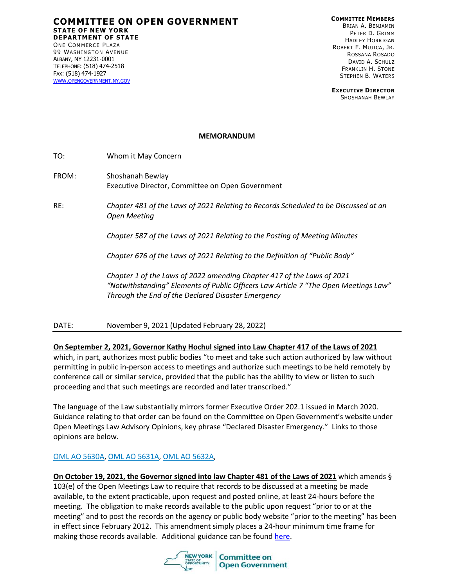**COMMITTEE ON OPEN GOVERNMENT STATE OF NEW YORK DEPARTMENT OF STATE** ONE COMMERCE PLAZA 99 WASHINGTON AVENUE ALBANY, NY 12231-0001 TELEPHONE: (518) 474-2518

**COMMITTEE MEMBERS** BRIAN A. BENJAMIN PETER D. GRIMM HADLEY HORRIGAN ROBERT F. MUJICA, JR. ROSSANA ROSADO DAVID A. SCHULZ FRANKLIN H. STONE STEPHEN B. WATERS

**EXECUTIVE DIRECTOR** SHOSHANAH BEWLAY

## **MEMORANDUM**

FAX: (518) 474-1927 WWW.[OPENGOVERNMENT](http://www.opengovernment.ny.gov/).NY.GOV

- FROM: Shoshanah Bewlay Executive Director, Committee on Open Government
- RE: *Chapter 481 of the Laws of 2021 Relating to Records Scheduled to be Discussed at an Open Meeting*

*Chapter 587 of the Laws of 2021 Relating to the Posting of Meeting Minutes*

*Chapter 676 of the Laws of 2021 Relating to the Definition of "Public Body"*

*Chapter 1 of the Laws of 2022 amending Chapter 417 of the Laws of 2021 "Notwithstanding" Elements of Public Officers Law Article 7 "The Open Meetings Law" Through the End of the Declared Disaster Emergency*

DATE: November 9, 2021 (Updated February 28, 2022)

## **On September 2, 2021, Governor Kathy Hochul signed into Law Chapter 417 of the Laws of 2021**

which, in part, authorizes most public bodies "to meet and take such action authorized by law without permitting in public in-person access to meetings and authorize such meetings to be held remotely by conference call or similar service, provided that the public has the ability to view or listen to such proceeding and that such meetings are recorded and later transcribed."

The language of the Law substantially mirrors former Executive Order 202.1 issued in March 2020. Guidance relating to that order can be found on the Committee on Open Government's website under Open Meetings Law Advisory Opinions, key phrase "Declared Disaster Emergency." Links to those opinions are below.

## [OML AO 5630A](https://docsopengovernment.dos.ny.gov/coog/otext/O5630A.htm), [OML AO 5631A](https://docsopengovernment.dos.ny.gov/coog/otext/O5631A.htm)[, OML AO 5632A](https://docsopengovernment.dos.ny.gov/coog/otext/o5632a.pdf),

**On October 19, 2021, the Governor signed into law Chapter 481 of the Laws of 2021** which amends § 103(e) of the Open Meetings Law to require that records to be discussed at a meeting be made available, to the extent practicable, upon request and posted online, at least 24-hours before the meeting. The obligation to make records available to the public upon request "prior to or at the meeting" and to post the records on the agency or public body website "prior to the meeting" has been in effect since February 2012. This amendment simply places a 24-hour minimum time frame for making those records available. Additional guidance can be found [here.](https://opengovernment.ny.gov/system/files/documents/2021/11/disclosure-of-records-scheduled-for-discussion-at-open-meetings-112221.pdf)